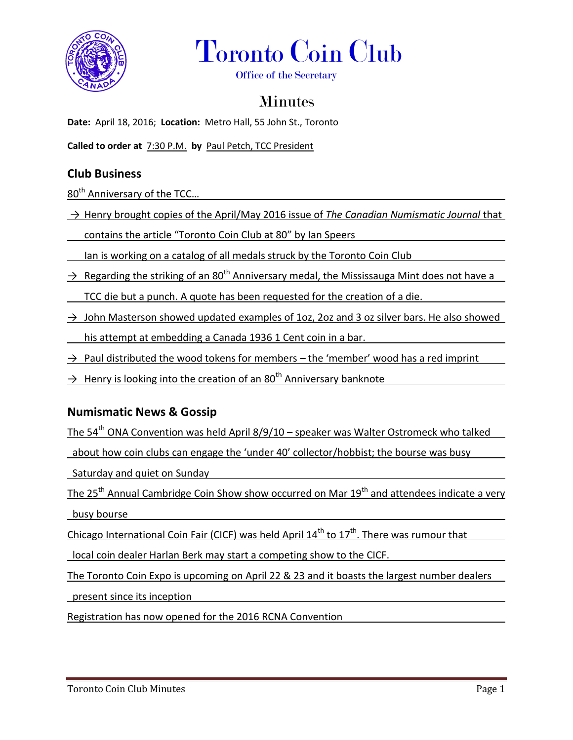



Office of the Secretary

# **Minutes**

**Date:** April 18, 2016; **Location:** Metro Hall, 55 John St., Toronto

**Called to order at** 7:30 P.M. **by** Paul Petch, TCC President

## **Club Business**

80<sup>th</sup> Anniversary of the TCC...

→ Henry brought copies of the April/May 2016 issue of *The Canadian Numismatic Journal* that

contains the article "Toronto Coin Club at 80" by Ian Speers

Ian is working on a catalog of all medals struck by the Toronto Coin Club

- $\rightarrow$  Regarding the striking of an 80<sup>th</sup> Anniversary medal, the Mississauga Mint does not have a TCC die but a punch. A quote has been requested for the creation of a die.
- $\rightarrow$  John Masterson showed updated examples of 1oz, 2oz and 3 oz silver bars. He also showed his attempt at embedding a Canada 1936 1 Cent coin in a bar.
- $\rightarrow$  Paul distributed the wood tokens for members the 'member' wood has a red imprint
- $\rightarrow$  Henry is looking into the creation of an 80<sup>th</sup> Anniversary banknote

### **Numismatic News & Gossip**

The 54<sup>th</sup> ONA Convention was held April 8/9/10 – speaker was Walter Ostromeck who talked

about how coin clubs can engage the 'under 40' collector/hobbist; the bourse was busy

Saturday and quiet on Sunday

The 25<sup>th</sup> Annual Cambridge Coin Show show occurred on Mar 19<sup>th</sup> and attendees indicate a very busy bourse

Chicago International Coin Fair (CICF) was held April  $14<sup>th</sup>$  to  $17<sup>th</sup>$ . There was rumour that

local coin dealer Harlan Berk may start a competing show to the CICF.

The Toronto Coin Expo is upcoming on April 22 & 23 and it boasts the largest number dealers

present since its inception

Registration has now opened for the 2016 RCNA Convention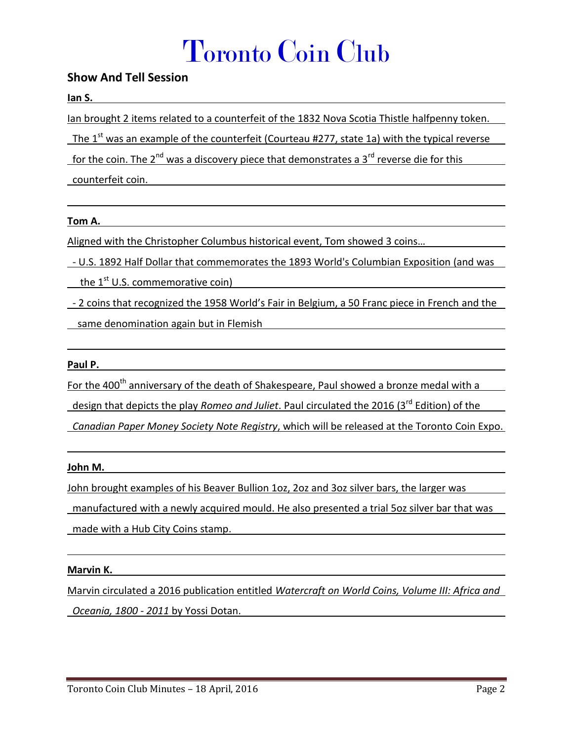# Toronto Coin Club

### **Show And Tell Session**

**Ian S.**

Ian brought 2 items related to a counterfeit of the 1832 Nova Scotia Thistle halfpenny token.

The  $1<sup>st</sup>$  was an example of the counterfeit (Courteau #277, state 1a) with the typical reverse

for the coin. The 2<sup>nd</sup> was a discovery piece that demonstrates a 3<sup>rd</sup> reverse die for this

counterfeit coin.

#### **Tom A.**

Aligned with the Christopher Columbus historical event, Tom showed 3 coins…

- U.S. 1892 Half Dollar that commemorates the 1893 World's Columbian Exposition (and was

the  $1^{\text{st}}$  U.S. commemorative coin)

- 2 coins that recognized the 1958 World's Fair in Belgium, a 50 Franc piece in French and the

same denomination again but in Flemish

#### **Paul P.**

For the 400<sup>th</sup> anniversary of the death of Shakespeare, Paul showed a bronze medal with a design that depicts the play *Romeo and Juliet*. Paul circulated the 2016 (3<sup>rd</sup> Edition) of the *Canadian Paper Money Society Note Registry*, which will be released at the Toronto Coin Expo.

#### **John M.**

John brought examples of his Beaver Bullion 1oz, 2oz and 3oz silver bars, the larger was

 manufactured with a newly acquired mould. He also presented a trial 5oz silver bar that was made with a Hub City Coins stamp.

#### **Marvin K.**

Marvin circulated a 2016 publication entitled *Watercraft on World Coins, Volume III: Africa and Oceania, 1800 - 2011* by Yossi Dotan.